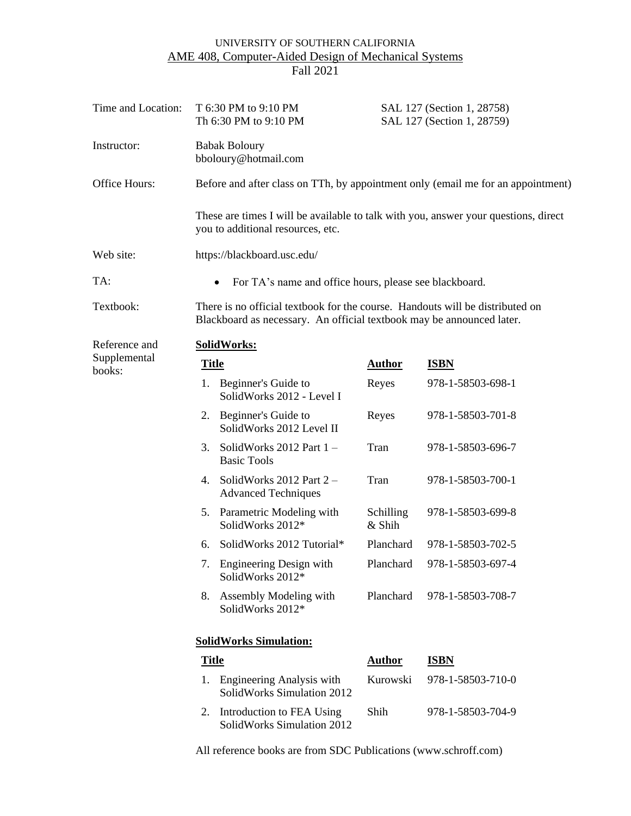# UNIVERSITY OF SOUTHERN CALIFORNIA AME 408, Computer-Aided Design of Mechanical Systems Fall 2021

| Time and Location:     | T 6:30 PM to 9:10 PM<br>Th 6:30 PM to 9:10 PM                                                                                                          |                                                                                  | SAL 127 (Section 1, 28758)<br>SAL 127 (Section 1, 28759) |                                                                                     |  |  |
|------------------------|--------------------------------------------------------------------------------------------------------------------------------------------------------|----------------------------------------------------------------------------------|----------------------------------------------------------|-------------------------------------------------------------------------------------|--|--|
| Instructor:            | <b>Babak Boloury</b><br>bboloury@hotmail.com                                                                                                           |                                                                                  |                                                          |                                                                                     |  |  |
| Office Hours:          |                                                                                                                                                        | Before and after class on TTh, by appointment only (email me for an appointment) |                                                          |                                                                                     |  |  |
|                        |                                                                                                                                                        | you to additional resources, etc.                                                |                                                          | These are times I will be available to talk with you, answer your questions, direct |  |  |
| Web site:              | https://blackboard.usc.edu/                                                                                                                            |                                                                                  |                                                          |                                                                                     |  |  |
| TA:                    | For TA's name and office hours, please see blackboard.<br>$\bullet$                                                                                    |                                                                                  |                                                          |                                                                                     |  |  |
| Textbook:              | There is no official textbook for the course. Handouts will be distributed on<br>Blackboard as necessary. An official textbook may be announced later. |                                                                                  |                                                          |                                                                                     |  |  |
| Reference and          | SolidWorks:                                                                                                                                            |                                                                                  |                                                          |                                                                                     |  |  |
| Supplemental<br>books: | <b>Title</b>                                                                                                                                           |                                                                                  | <b>Author</b>                                            | <b>ISBN</b>                                                                         |  |  |
|                        |                                                                                                                                                        | 1. Beginner's Guide to<br>SolidWorks 2012 - Level I                              | Reyes                                                    | 978-1-58503-698-1                                                                   |  |  |
|                        | 2.                                                                                                                                                     | Beginner's Guide to<br>SolidWorks 2012 Level II                                  | Reyes                                                    | 978-1-58503-701-8                                                                   |  |  |
|                        | 3.                                                                                                                                                     | SolidWorks 2012 Part 1-<br><b>Basic Tools</b>                                    | Tran                                                     | 978-1-58503-696-7                                                                   |  |  |
|                        | 4.                                                                                                                                                     | SolidWorks 2012 Part 2 -<br><b>Advanced Techniques</b>                           | Tran                                                     | 978-1-58503-700-1                                                                   |  |  |
|                        | 5.                                                                                                                                                     | Parametric Modeling with<br>SolidWorks 2012*                                     | Schilling<br>& Shih                                      | 978-1-58503-699-8                                                                   |  |  |
|                        | 6.                                                                                                                                                     | SolidWorks 2012 Tutorial*                                                        | Planchard                                                | 978-1-58503-702-5                                                                   |  |  |
|                        |                                                                                                                                                        | 7. Engineering Design with<br>SolidWorks 2012*                                   | Planchard                                                | 978-1-58503-697-4                                                                   |  |  |
|                        | 8.                                                                                                                                                     | Assembly Modeling with<br>SolidWorks 2012*                                       | Planchard                                                | 978-1-58503-708-7                                                                   |  |  |
|                        | <b>SolidWorks Simulation:</b>                                                                                                                          |                                                                                  |                                                          |                                                                                     |  |  |
|                        | <b>Title</b>                                                                                                                                           |                                                                                  | <b>Author</b>                                            | <b>ISBN</b>                                                                         |  |  |
|                        | 1.                                                                                                                                                     | Engineering Analysis with<br>SolidWorks Simulation 2012                          | Kurowski                                                 | 978-1-58503-710-0                                                                   |  |  |
|                        | 2.                                                                                                                                                     | Introduction to FEA Using                                                        | Shih                                                     | 978-1-58503-704-9                                                                   |  |  |

All reference books are from SDC Publications (www.schroff.com)

SolidWorks Simulation 2012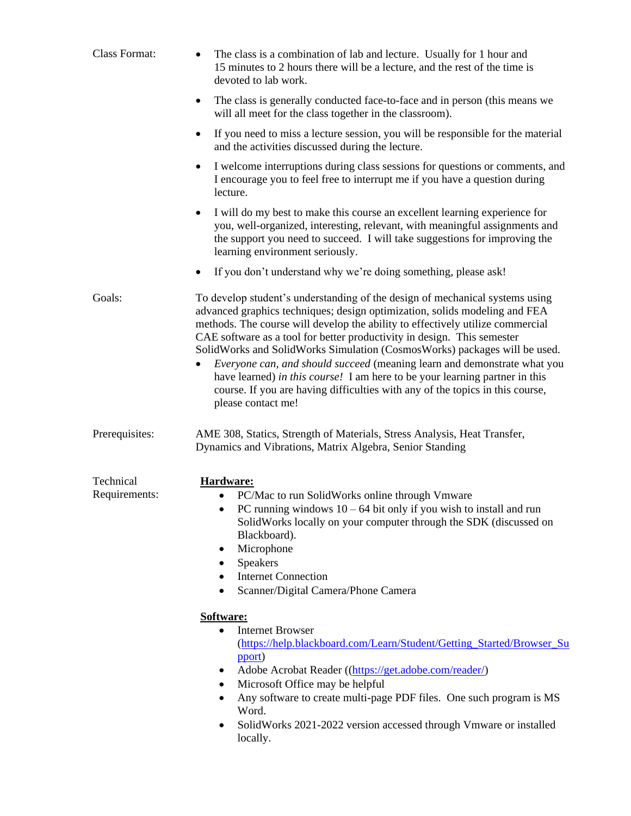| Class Format:<br>The class is a combination of lab and lecture. Usually for 1 hour and<br>15 minutes to 2 hours there will be a lecture, and the rest of the time is<br>devoted to lab work. |                                                                                                                                                                                                                                                                                                                                                                                                                                                                                                                                                                                                                                                                        |  |
|----------------------------------------------------------------------------------------------------------------------------------------------------------------------------------------------|------------------------------------------------------------------------------------------------------------------------------------------------------------------------------------------------------------------------------------------------------------------------------------------------------------------------------------------------------------------------------------------------------------------------------------------------------------------------------------------------------------------------------------------------------------------------------------------------------------------------------------------------------------------------|--|
|                                                                                                                                                                                              | The class is generally conducted face-to-face and in person (this means we<br>٠<br>will all meet for the class together in the classroom).                                                                                                                                                                                                                                                                                                                                                                                                                                                                                                                             |  |
|                                                                                                                                                                                              | If you need to miss a lecture session, you will be responsible for the material<br>٠<br>and the activities discussed during the lecture.                                                                                                                                                                                                                                                                                                                                                                                                                                                                                                                               |  |
|                                                                                                                                                                                              | I welcome interruptions during class sessions for questions or comments, and<br>$\bullet$<br>I encourage you to feel free to interrupt me if you have a question during<br>lecture.                                                                                                                                                                                                                                                                                                                                                                                                                                                                                    |  |
|                                                                                                                                                                                              | I will do my best to make this course an excellent learning experience for<br>you, well-organized, interesting, relevant, with meaningful assignments and<br>the support you need to succeed. I will take suggestions for improving the<br>learning environment seriously.                                                                                                                                                                                                                                                                                                                                                                                             |  |
|                                                                                                                                                                                              | If you don't understand why we're doing something, please ask!<br>٠                                                                                                                                                                                                                                                                                                                                                                                                                                                                                                                                                                                                    |  |
| Goals:                                                                                                                                                                                       | To develop student's understanding of the design of mechanical systems using<br>advanced graphics techniques; design optimization, solids modeling and FEA<br>methods. The course will develop the ability to effectively utilize commercial<br>CAE software as a tool for better productivity in design. This semester<br>SolidWorks and SolidWorks Simulation (CosmosWorks) packages will be used.<br>Everyone can, and should succeed (meaning learn and demonstrate what you<br>have learned) in this course! I am here to be your learning partner in this<br>course. If you are having difficulties with any of the topics in this course,<br>please contact me! |  |
| Prerequisites:                                                                                                                                                                               | AME 308, Statics, Strength of Materials, Stress Analysis, Heat Transfer,<br>Dynamics and Vibrations, Matrix Algebra, Senior Standing                                                                                                                                                                                                                                                                                                                                                                                                                                                                                                                                   |  |
| Technical<br>Requirements:                                                                                                                                                                   | Hardware:<br>PC/Mac to run SolidWorks online through Vmware<br>PC running windows $10 - 64$ bit only if you wish to install and run<br>SolidWorks locally on your computer through the SDK (discussed on<br>Blackboard).<br>Microphone<br>٠<br>Speakers<br>٠<br><b>Internet Connection</b><br>Scanner/Digital Camera/Phone Camera                                                                                                                                                                                                                                                                                                                                      |  |
|                                                                                                                                                                                              | Software:<br><b>Internet Browser</b><br>$\bullet$<br>(https://help.blackboard.com/Learn/Student/Getting_Started/Browser_Su<br>pport)<br>Adobe Acrobat Reader ((https://get.adobe.com/reader/)<br>Microsoft Office may be helpful<br>٠<br>Any software to create multi-page PDF files. One such program is MS<br>Word.<br>SolidWorks 2021-2022 version accessed through Vmware or installed<br>locally.                                                                                                                                                                                                                                                                 |  |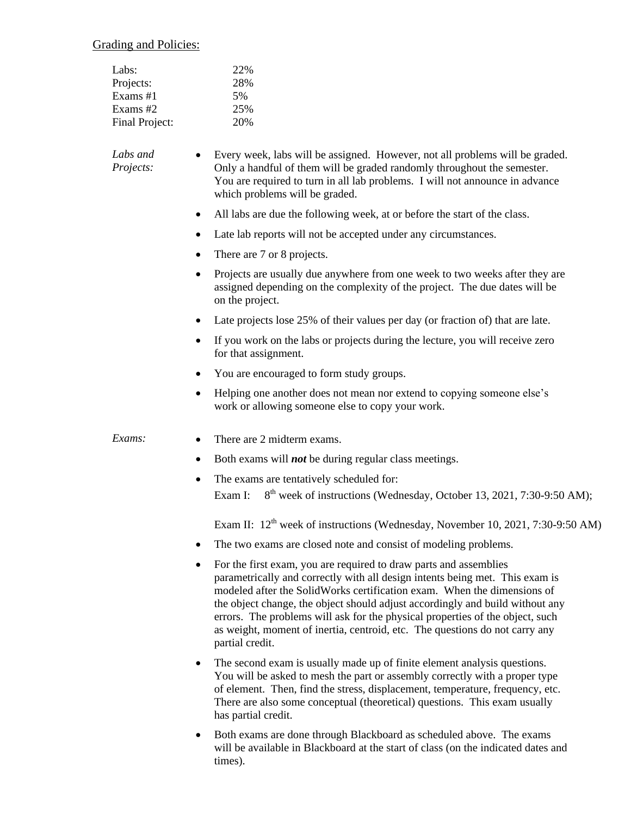Grading and Policies:

| Labs:          | 22% |
|----------------|-----|
| Projects:      | 28% |
| Exams #1       | 5%  |
| Exams $#2$     | 25% |
| Final Project: | 20% |

*Labs and Projects:* • Every week, labs will be assigned. However, not all problems will be graded. Only a handful of them will be graded randomly throughout the semester. You are required to turn in all lab problems. I will not announce in advance which problems will be graded.

- All labs are due the following week, at or before the start of the class.
- Late lab reports will not be accepted under any circumstances.
- There are 7 or 8 projects.
- Projects are usually due anywhere from one week to two weeks after they are assigned depending on the complexity of the project. The due dates will be on the project.
- Late projects lose 25% of their values per day (or fraction of) that are late.
- If you work on the labs or projects during the lecture, you will receive zero for that assignment.
- You are encouraged to form study groups.
- Helping one another does not mean nor extend to copying someone else's work or allowing someone else to copy your work.

#### *Exams:* • There are 2 midterm exams.

- Both exams will *not* be during regular class meetings.
- The exams are tentatively scheduled for: Exam I:  $8<sup>th</sup>$  week of instructions (Wednesday, October 13, 2021, 7:30-9:50 AM);

Exam II:  $12<sup>th</sup>$  week of instructions (Wednesday, November 10, 2021, 7:30-9:50 AM)

- The two exams are closed note and consist of modeling problems.
- For the first exam, you are required to draw parts and assemblies parametrically and correctly with all design intents being met. This exam is modeled after the SolidWorks certification exam. When the dimensions of the object change, the object should adjust accordingly and build without any errors. The problems will ask for the physical properties of the object, such as weight, moment of inertia, centroid, etc. The questions do not carry any partial credit.
- The second exam is usually made up of finite element analysis questions. You will be asked to mesh the part or assembly correctly with a proper type of element. Then, find the stress, displacement, temperature, frequency, etc. There are also some conceptual (theoretical) questions. This exam usually has partial credit.
- Both exams are done through Blackboard as scheduled above. The exams will be available in Blackboard at the start of class (on the indicated dates and times).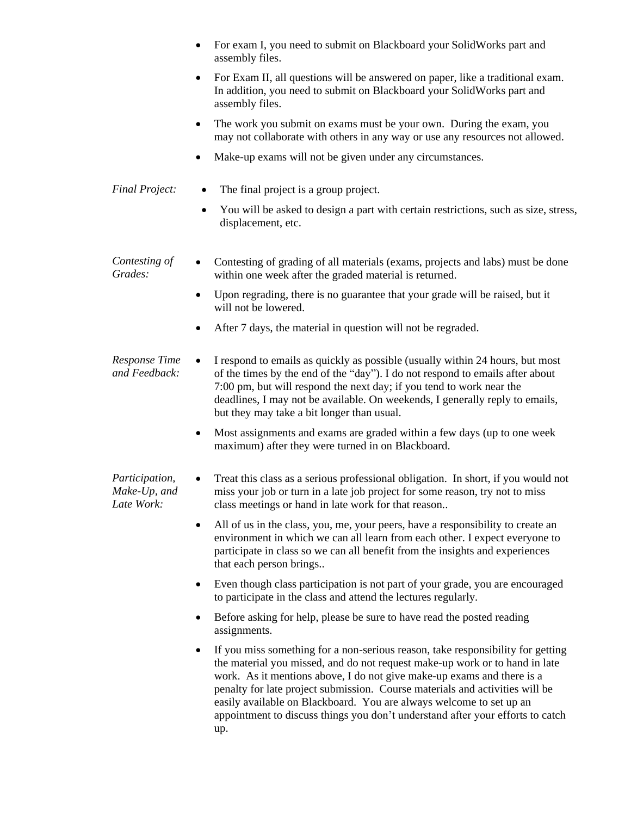- For exam I, you need to submit on Blackboard your SolidWorks part and assembly files.
- For Exam II, all questions will be answered on paper, like a traditional exam. In addition, you need to submit on Blackboard your SolidWorks part and assembly files.
- The work you submit on exams must be your own. During the exam, you may not collaborate with others in any way or use any resources not allowed.
- Make-up exams will not be given under any circumstances.
- *Final Project:* The final project is a group project.
	- You will be asked to design a part with certain restrictions, such as size, stress, displacement, etc.

#### *Contesting of Grades:* • Contesting of grading of all materials (exams, projects and labs) must be done within one week after the graded material is returned.

- Upon regrading, there is no guarantee that your grade will be raised, but it will not be lowered.
- After 7 days, the material in question will not be regraded.
- *Response Time and Feedback:* • I respond to emails as quickly as possible (usually within 24 hours, but most of the times by the end of the "day"). I do not respond to emails after about 7:00 pm, but will respond the next day; if you tend to work near the deadlines, I may not be available. On weekends, I generally reply to emails, but they may take a bit longer than usual.
	- Most assignments and exams are graded within a few days (up to one week maximum) after they were turned in on Blackboard.

#### *Participation, Make-Up, and Late Work:* • Treat this class as a serious professional obligation. In short, if you would not miss your job or turn in a late job project for some reason, try not to miss class meetings or hand in late work for that reason..

- All of us in the class, you, me, your peers, have a responsibility to create an environment in which we can all learn from each other. I expect everyone to participate in class so we can all benefit from the insights and experiences that each person brings..
- Even though class participation is not part of your grade, you are encouraged to participate in the class and attend the lectures regularly.
- Before asking for help, please be sure to have read the posted reading assignments.
- If you miss something for a non-serious reason, take responsibility for getting the material you missed, and do not request make-up work or to hand in late work. As it mentions above, I do not give make-up exams and there is a penalty for late project submission. Course materials and activities will be easily available on Blackboard. You are always welcome to set up an appointment to discuss things you don't understand after your efforts to catch up.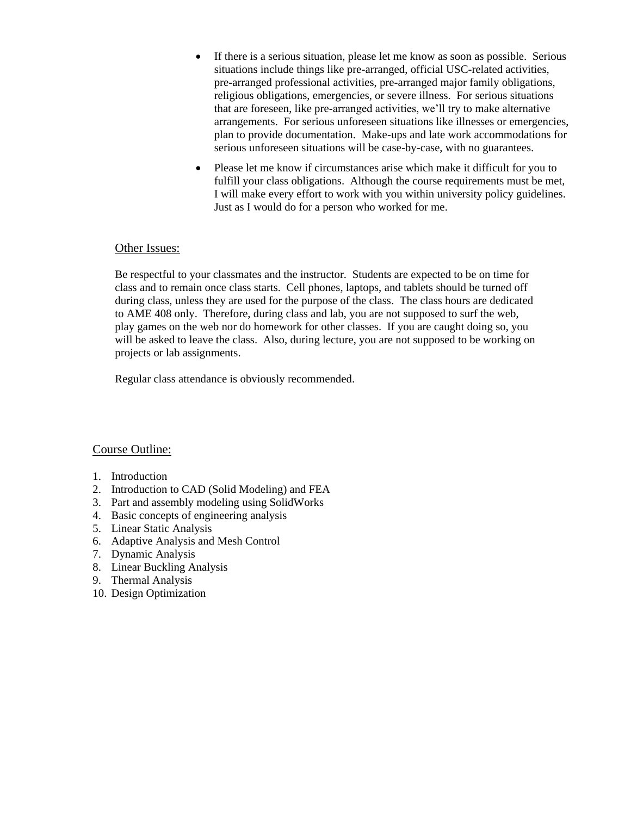- If there is a serious situation, please let me know as soon as possible. Serious situations include things like pre-arranged, official USC-related activities, pre-arranged professional activities, pre-arranged major family obligations, religious obligations, emergencies, or severe illness. For serious situations that are foreseen, like pre-arranged activities, we'll try to make alternative arrangements. For serious unforeseen situations like illnesses or emergencies, plan to provide documentation. Make-ups and late work accommodations for serious unforeseen situations will be case-by-case, with no guarantees.
- Please let me know if circumstances arise which make it difficult for you to fulfill your class obligations. Although the course requirements must be met, I will make every effort to work with you within university policy guidelines. Just as I would do for a person who worked for me.

#### Other Issues:

Be respectful to your classmates and the instructor. Students are expected to be on time for class and to remain once class starts. Cell phones, laptops, and tablets should be turned off during class, unless they are used for the purpose of the class. The class hours are dedicated to AME 408 only. Therefore, during class and lab, you are not supposed to surf the web, play games on the web nor do homework for other classes. If you are caught doing so, you will be asked to leave the class. Also, during lecture, you are not supposed to be working on projects or lab assignments.

Regular class attendance is obviously recommended.

#### Course Outline:

- 1. Introduction
- 2. Introduction to CAD (Solid Modeling) and FEA
- 3. Part and assembly modeling using SolidWorks
- 4. Basic concepts of engineering analysis
- 5. Linear Static Analysis
- 6. Adaptive Analysis and Mesh Control
- 7. Dynamic Analysis
- 8. Linear Buckling Analysis
- 9. Thermal Analysis
- 10. Design Optimization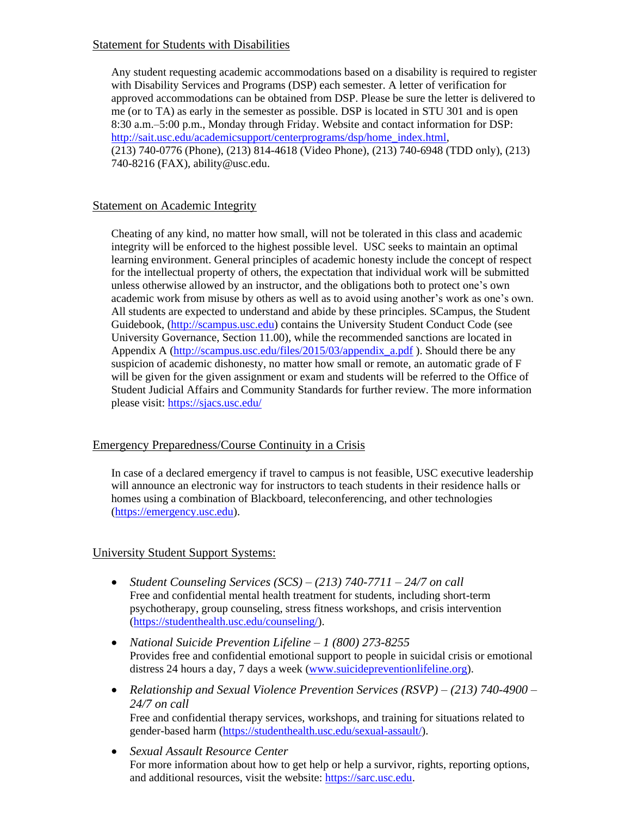### Statement for Students with Disabilities

Any student requesting academic accommodations based on a disability is required to register with Disability Services and Programs (DSP) each semester. A letter of verification for approved accommodations can be obtained from DSP. Please be sure the letter is delivered to me (or to TA) as early in the semester as possible. DSP is located in STU 301 and is open 8:30 a.m.–5:00 p.m., Monday through Friday. Website and contact information for DSP: [http://sait.usc.edu/academicsupport/centerprograms/dsp/home\\_index.html,](http://sait.usc.edu/academicsupport/centerprograms/dsp/home_index.html) (213) 740-0776 (Phone), (213) 814-4618 (Video Phone), (213) 740-6948 (TDD only), (213) 740-8216 (FAX), ability@usc.edu.

#### Statement on Academic Integrity

Cheating of any kind, no matter how small, will not be tolerated in this class and academic integrity will be enforced to the highest possible level. USC seeks to maintain an optimal learning environment. General principles of academic honesty include the concept of respect for the intellectual property of others, the expectation that individual work will be submitted unless otherwise allowed by an instructor, and the obligations both to protect one's own academic work from misuse by others as well as to avoid using another's work as one's own. All students are expected to understand and abide by these principles. SCampus, the Student Guidebook, [\(http://scampus.usc.edu\)](http://scampus.usc.edu/) contains the University Student Conduct Code (see University Governance, Section 11.00), while the recommended sanctions are located in Appendix A [\(http://scampus.usc.edu/files/2015/03/appendix\\_a.pdf](http://scampus.usc.edu/files/2015/03/appendix_a.pdf) ). Should there be any suspicion of academic dishonesty, no matter how small or remote, an automatic grade of F will be given for the given assignment or exam and students will be referred to the Office of Student Judicial Affairs and Community Standards for further review. The more information please visit:<https://sjacs.usc.edu/>

## Emergency Preparedness/Course Continuity in a Crisis

In case of a declared emergency if travel to campus is not feasible, USC executive leadership will announce an electronic way for instructors to teach students in their residence halls or homes using a combination of Blackboard, teleconferencing, and other technologies [\(https://emergency.usc.edu\)](https://emergency.usc.edu/).

## University Student Support Systems:

- *Student Counseling Services (SCS) – (213) 740-7711 – 24/7 on call*  Free and confidential mental health treatment for students, including short-term psychotherapy, group counseling, stress fitness workshops, and crisis intervention [\(https://studenthealth.usc.edu/counseling/\)](https://studenthealth.usc.edu/counseling/).
- *National Suicide Prevention Lifeline – 1 (800) 273-8255*  Provides free and confidential emotional support to people in suicidal crisis or emotional distress 24 hours a day, 7 days a week [\(www.suicidepreventionlifeline.org\)](www.suicidepreventionlifeline.org).
- *Relationship and Sexual Violence Prevention Services (RSVP) – (213) 740-4900 – 24/7 on call* Free and confidential therapy services, workshops, and training for situations related to gender-based harm [\(https://studenthealth.usc.edu/sexual-assault/\)](https://studenthealth.usc.edu/sexual-assault/).
- *Sexual Assault Resource Center*  For more information about how to get help or help a survivor, rights, reporting options, and additional resources, visit the website: [https://sarc.usc.edu.](https://sarc.usc.edu/)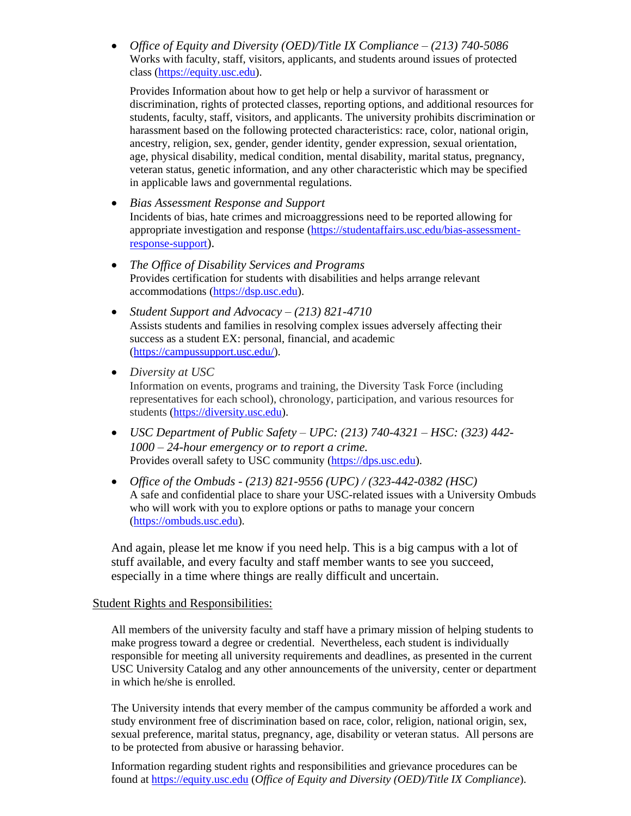• *Office of Equity and Diversity (OED)/Title IX Compliance – (213) 740-5086*  Works with faculty, staff, visitors, applicants, and students around issues of protected class [\(https://equity.usc.edu\)](https://equity.usc.edu/).

Provides Information about how to get help or help a survivor of harassment or discrimination, rights of protected classes, reporting options, and additional resources for students, faculty, staff, visitors, and applicants. The university prohibits discrimination or harassment based on the following protected characteristics: race, color, national origin, ancestry, religion, sex, gender, gender identity, gender expression, sexual orientation, age, physical disability, medical condition, mental disability, marital status, pregnancy, veteran status, genetic information, and any other characteristic which may be specified in applicable laws and governmental regulations.

- *Bias Assessment Response and Support*  Incidents of bias, hate crimes and microaggressions need to be reported allowing for appropriate investigation and response [\(https://studentaffairs.usc.edu/bias-assessment](https://studentaffairs.usc.edu/bias-assessment-response-support)[response-support](https://studentaffairs.usc.edu/bias-assessment-response-support)).
- *The Office of Disability Services and Programs*  Provides certification for students with disabilities and helps arrange relevant accommodations [\(https://dsp.usc.edu\)](https://dsp.usc.edu/).
- *Student Support and Advocacy – (213) 821-4710*  Assists students and families in resolving complex issues adversely affecting their success as a student EX: personal, financial, and academic [\(https://campussupport.usc.edu/\)](https://campussupport.usc.edu/).
- *Diversity at USC*  Information on events, programs and training, the Diversity Task Force (including representatives for each school), chronology, participation, and various resources for students [\(https://diversity.usc.edu\)](https://diversity.usc.edu/).
- *USC Department of Public Safety – UPC: (213) 740-4321 – HSC: (323) 442- 1000 – 24-hour emergency or to report a crime.*  Provides overall safety to USC community [\(https://dps.usc.edu\)](https://dps.usc.edu/).
- *Office of the Ombuds - (213) 821-9556 (UPC) / (323-442-0382 (HSC)*  A safe and confidential place to share your USC-related issues with a University Ombuds who will work with you to explore options or paths to manage your concern [\(https://ombuds.usc.edu\)](https://ombuds.usc.edu/).

And again, please let me know if you need help. This is a big campus with a lot of stuff available, and every faculty and staff member wants to see you succeed, especially in a time where things are really difficult and uncertain.

## Student Rights and Responsibilities:

All members of the university faculty and staff have a primary mission of helping students to make progress toward a degree or credential. Nevertheless, each student is individually responsible for meeting all university requirements and deadlines, as presented in the current USC University Catalog and any other announcements of the university, center or department in which he/she is enrolled.

The University intends that every member of the campus community be afforded a work and study environment free of discrimination based on race, color, religion, national origin, sex, sexual preference, marital status, pregnancy, age, disability or veteran status. All persons are to be protected from abusive or harassing behavior.

Information regarding student rights and responsibilities and grievance procedures can be found at [https://equity.usc.edu](https://equity.usc.edu/) (*Office of Equity and Diversity (OED)/Title IX Compliance*).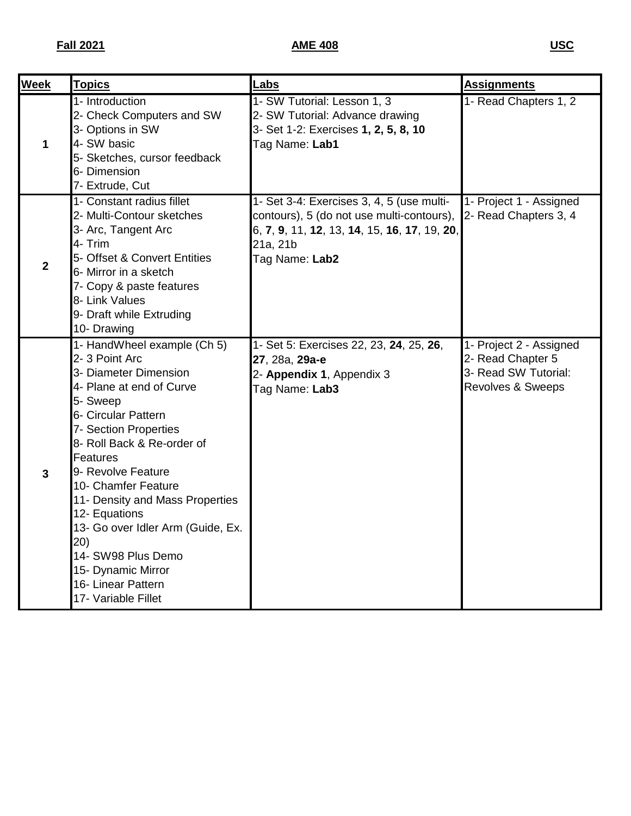| <b>Week</b>  | <b>Topics</b>                                                                                                                                                                                                                                                                                                                                                                                                                                 | Labs                                                                                                                                                                 | <b>Assignments</b>                                                                        |
|--------------|-----------------------------------------------------------------------------------------------------------------------------------------------------------------------------------------------------------------------------------------------------------------------------------------------------------------------------------------------------------------------------------------------------------------------------------------------|----------------------------------------------------------------------------------------------------------------------------------------------------------------------|-------------------------------------------------------------------------------------------|
| 1            | 1- Introduction<br>2- Check Computers and SW<br>3- Options in SW<br>4- SW basic<br>5- Sketches, cursor feedback<br>6- Dimension<br>7- Extrude, Cut                                                                                                                                                                                                                                                                                            | 1- SW Tutorial: Lesson 1, 3<br>2- SW Tutorial: Advance drawing<br>3- Set 1-2: Exercises 1, 2, 5, 8, 10<br>Tag Name: Lab1                                             | 1- Read Chapters 1, 2                                                                     |
| $\mathbf{2}$ | 1- Constant radius fillet<br>2- Multi-Contour sketches<br>3- Arc, Tangent Arc<br>4- Trim<br>5- Offset & Convert Entities<br>6- Mirror in a sketch<br>7- Copy & paste features<br>8- Link Values<br>9- Draft while Extruding<br>10- Drawing                                                                                                                                                                                                    | 1- Set 3-4: Exercises 3, 4, 5 (use multi-<br>contours), 5 (do not use multi-contours),<br>6, 7, 9, 11, 12, 13, 14, 15, 16, 17, 19, 20,<br>21a, 21b<br>Tag Name: Lab2 | 1- Project 1 - Assigned<br>2- Read Chapters 3, 4                                          |
| $\mathbf{3}$ | 1- HandWheel example (Ch 5)<br>2-3 Point Arc<br>3- Diameter Dimension<br>4- Plane at end of Curve<br>5- Sweep<br>6- Circular Pattern<br>7- Section Properties<br>8- Roll Back & Re-order of<br>Features<br>9- Revolve Feature<br>10- Chamfer Feature<br>11- Density and Mass Properties<br>12- Equations<br>13- Go over Idler Arm (Guide, Ex.<br>20)<br>14- SW98 Plus Demo<br>15- Dynamic Mirror<br>16- Linear Pattern<br>17- Variable Fillet | 1- Set 5: Exercises 22, 23, 24, 25, 26,<br>27, 28a, 29a-e<br>2- Appendix 1, Appendix 3<br>Tag Name: Lab3                                                             | 1- Project 2 - Assigned<br>2- Read Chapter 5<br>3- Read SW Tutorial:<br>Revolves & Sweeps |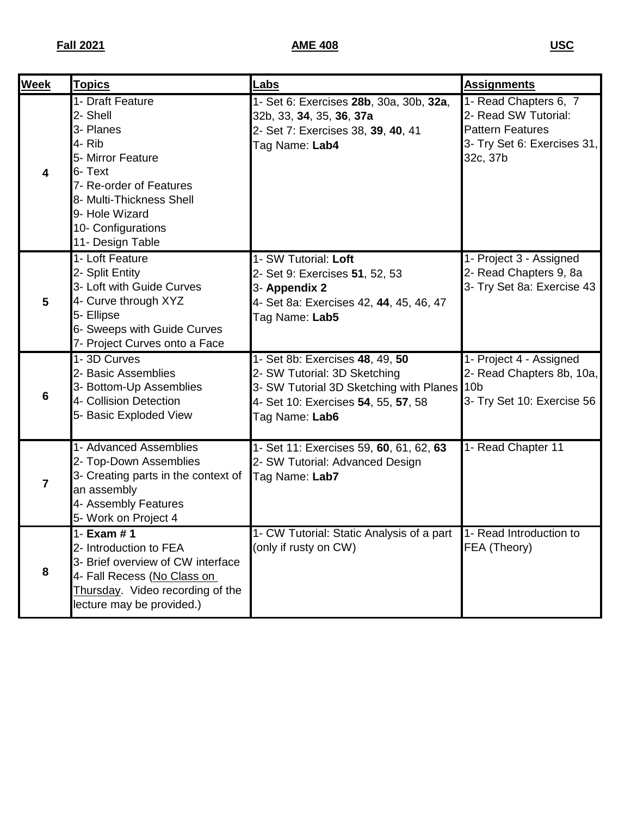| <b>Week</b>             | <b>Topics</b>                                                                                                                                                                                          | <b>Labs</b>                                                                                                                                                             | <b>Assignments</b>                                                                                                  |
|-------------------------|--------------------------------------------------------------------------------------------------------------------------------------------------------------------------------------------------------|-------------------------------------------------------------------------------------------------------------------------------------------------------------------------|---------------------------------------------------------------------------------------------------------------------|
| 4                       | 1- Draft Feature<br>2- Shell<br>3- Planes<br>4- Rib<br>5- Mirror Feature<br>6- Text<br>7- Re-order of Features<br>8- Multi-Thickness Shell<br>9- Hole Wizard<br>10- Configurations<br>11- Design Table | 1- Set 6: Exercises 28b, 30a, 30b, 32a,<br>32b, 33, 34, 35, 36, 37a<br>2- Set 7: Exercises 38, 39, 40, 41<br>Tag Name: Lab4                                             | 1- Read Chapters 6, 7<br>2- Read SW Tutorial:<br><b>Pattern Features</b><br>3- Try Set 6: Exercises 31,<br>32c, 37b |
| $5\phantom{.0}$         | 1- Loft Feature<br>2- Split Entity<br>3- Loft with Guide Curves<br>4- Curve through XYZ<br>5- Ellipse<br>6- Sweeps with Guide Curves<br>7- Project Curves onto a Face                                  | 1- SW Tutorial: Loft<br>2- Set 9: Exercises 51, 52, 53<br>3- Appendix 2<br>4- Set 8a: Exercises 42, 44, 45, 46, 47<br>Tag Name: Lab5                                    | 1- Project 3 - Assigned<br>2- Read Chapters 9, 8a<br>3- Try Set 8a: Exercise 43                                     |
| 6                       | 1-3D Curves<br>2- Basic Assemblies<br>3- Bottom-Up Assemblies<br>4- Collision Detection<br>5- Basic Exploded View                                                                                      | 1- Set 8b: Exercises 48, 49, 50<br>2- SW Tutorial: 3D Sketching<br>3- SW Tutorial 3D Sketching with Planes 10b<br>4- Set 10: Exercises 54, 55, 57, 58<br>Tag Name: Lab6 | 1- Project 4 - Assigned<br>2- Read Chapters 8b, 10a,<br>3- Try Set 10: Exercise 56                                  |
| $\overline{\mathbf{z}}$ | 1- Advanced Assemblies<br>2- Top-Down Assemblies<br>3- Creating parts in the context of<br>an assembly<br>4- Assembly Features<br>5- Work on Project 4                                                 | 1- Set 11: Exercises 59, 60, 61, 62, 63<br>2- SW Tutorial: Advanced Design<br>Tag Name: Lab7                                                                            | 1- Read Chapter 11                                                                                                  |
| 8                       | 1- Exam $# 1$<br>2- Introduction to FEA<br>3- Brief overview of CW interface<br>4- Fall Recess (No Class on<br>Thursday. Video recording of the<br>lecture may be provided.)                           | 1- CW Tutorial: Static Analysis of a part 1- Read Introduction to<br>(only if rusty on CW)                                                                              | FEA (Theory)                                                                                                        |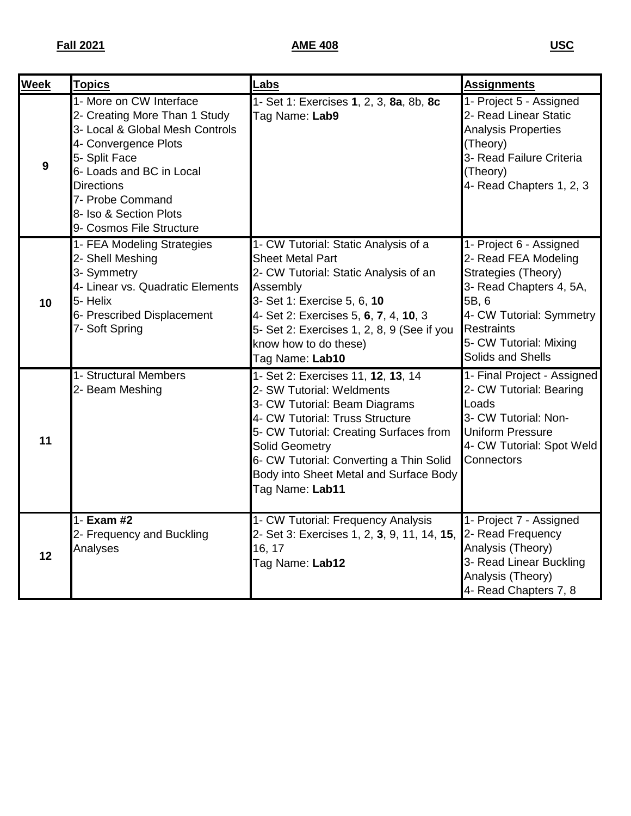| <b>Week</b> | <b>Topics</b>                                                                                                                                                                                                                                                   | <b>Labs</b>                                                                                                                                                                                                                                                                                                    | <b>Assignments</b>                                                                                                                                                                                         |
|-------------|-----------------------------------------------------------------------------------------------------------------------------------------------------------------------------------------------------------------------------------------------------------------|----------------------------------------------------------------------------------------------------------------------------------------------------------------------------------------------------------------------------------------------------------------------------------------------------------------|------------------------------------------------------------------------------------------------------------------------------------------------------------------------------------------------------------|
| 9           | 1- More on CW Interface<br>2- Creating More Than 1 Study<br>3- Local & Global Mesh Controls<br>4- Convergence Plots<br>5- Split Face<br>6- Loads and BC in Local<br><b>Directions</b><br>7- Probe Command<br>8- Iso & Section Plots<br>9- Cosmos File Structure | 1- Set 1: Exercises 1, 2, 3, 8a, 8b, 8c<br>Tag Name: Lab9                                                                                                                                                                                                                                                      | 1- Project 5 - Assigned<br>2- Read Linear Static<br><b>Analysis Properties</b><br>(Theory)<br>3- Read Failure Criteria<br>(Theory)<br>4- Read Chapters 1, 2, 3                                             |
| 10          | 1- FEA Modeling Strategies<br>2- Shell Meshing<br>3- Symmetry<br>4- Linear vs. Quadratic Elements<br>5- Helix<br>6- Prescribed Displacement<br>7- Soft Spring                                                                                                   | 1- CW Tutorial: Static Analysis of a<br><b>Sheet Metal Part</b><br>2- CW Tutorial: Static Analysis of an<br>Assembly<br>3- Set 1: Exercise 5, 6, 10<br>4- Set 2: Exercises 5, 6, 7, 4, 10, 3<br>5- Set 2: Exercises 1, 2, 8, 9 (See if you<br>know how to do these)<br>Tag Name: Lab10                         | 1- Project 6 - Assigned<br>2- Read FEA Modeling<br>Strategies (Theory)<br>3- Read Chapters 4, 5A,<br>5B, 6<br>4- CW Tutorial: Symmetry<br><b>Restraints</b><br>5- CW Tutorial: Mixing<br>Solids and Shells |
| 11          | 1- Structural Members<br>2- Beam Meshing                                                                                                                                                                                                                        | 1- Set 2: Exercises 11, 12, 13, 14<br>2- SW Tutorial: Weldments<br>3- CW Tutorial: Beam Diagrams<br>4- CW Tutorial: Truss Structure<br>5- CW Tutorial: Creating Surfaces from<br><b>Solid Geometry</b><br>6- CW Tutorial: Converting a Thin Solid<br>Body into Sheet Metal and Surface Body<br>Tag Name: Lab11 | 1- Final Project - Assigned<br>2- CW Tutorial: Bearing<br>Loads<br>3- CW Tutorial: Non-<br><b>Uniform Pressure</b><br>4- CW Tutorial: Spot Weld<br>Connectors                                              |
| 12          | 1- Exam #2<br>2- Frequency and Buckling<br>Analyses                                                                                                                                                                                                             | 1- CW Tutorial: Frequency Analysis<br>2- Set 3: Exercises 1, 2, 3, 9, 11, 14, 15,<br>16, 17<br>Tag Name: Lab12                                                                                                                                                                                                 | 1- Project 7 - Assigned<br>2- Read Frequency<br>Analysis (Theory)<br>3- Read Linear Buckling<br>Analysis (Theory)<br>4- Read Chapters 7, 8                                                                 |